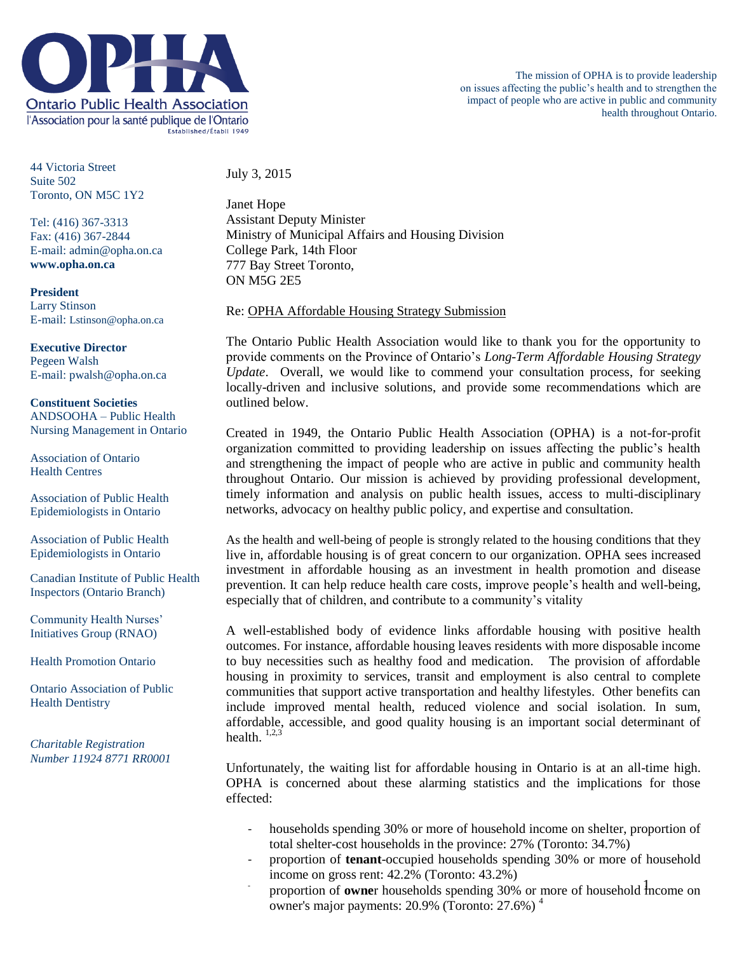

44 Victoria Street Suite 502 Toronto, ON M5C 1Y2

Tel: (416) 367-3313 Fax: (416) 367-2844 E-mail: admin@opha.on.ca **www.opha.on.ca**

**President** Larry Stinson E-mail: Lstinson@opha.on.ca

**Executive Director** Pegeen Walsh E-mail: pwalsh@opha.on.ca

**Constituent Societies** ANDSOOHA – Public Health Nursing Management in Ontario

Association of Ontario Health Centres

Association of Public Health Epidemiologists in Ontario

Association of Public Health Epidemiologists in Ontario

Canadian Institute of Public Health Inspectors (Ontario Branch)

Community Health Nurses' Initiatives Group (RNAO)

Health Promotion Ontario

Ontario Association of Public Health Dentistry

*Charitable Registration Number 11924 8771 RR0001* July 3, 2015

Janet Hope Assistant Deputy Minister Ministry of Municipal Affairs and Housing Division College Park, 14th Floor 777 Bay Street Toronto, ON M5G 2E5

Re: OPHA Affordable Housing Strategy Submission

The Ontario Public Health Association would like to thank you for the opportunity to provide comments on the Province of Ontario's *Long-Term Affordable Housing Strategy Update*. Overall, we would like to commend your consultation process, for seeking locally-driven and inclusive solutions, and provide some recommendations which are outlined below.

Created in 1949, the Ontario Public Health Association (OPHA) is a not-for-profit organization committed to providing leadership on issues affecting the public's health and strengthening the impact of people who are active in public and community health throughout Ontario. Our mission is achieved by providing professional development, timely information and analysis on public health issues, access to multi-disciplinary networks, advocacy on healthy public policy, and expertise and consultation.

As the health and well-being of people is strongly related to the housing conditions that they live in, affordable housing is of great concern to our organization. OPHA sees increased investment in affordable housing as an investment in health promotion and disease prevention. It can help reduce health care costs, improve people's health and well-being, especially that of children, and contribute to a community's vitality

A well-established body of evidence links affordable housing with positive health outcomes. For instance, affordable housing leaves residents with more disposable income to buy necessities such as healthy food and medication. The provision of affordable housing in proximity to services, transit and employment is also central to complete communities that support active transportation and healthy lifestyles. Other benefits can include improved mental health, reduced violence and social isolation. In sum, affordable, accessible, and good quality housing is an important social determinant of health.  $1,2,3$ 

Unfortunately, the waiting list for affordable housing in Ontario is at an all-time high. OPHA is concerned about these alarming statistics and the implications for those effected:

- households spending 30% or more of household income on shelter, proportion of total shelter-cost households in the province: 27% (Toronto: 34.7%)
- proportion of **tenant**-occupied households spending 30% or more of household income on gross rent: 42.2% (Toronto: 43.2%)
- proportion of **owne**r households spending 30% or more of household income on owner's major payments:  $20.9\%$  (Toronto:  $27.6\%$ )<sup>4</sup>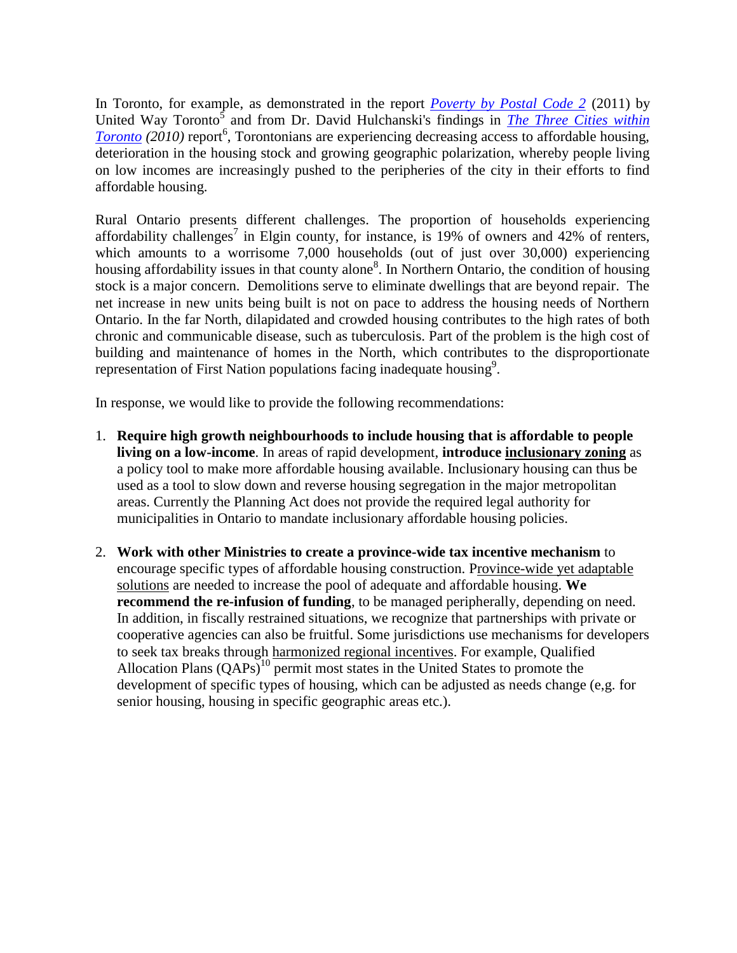In Toronto, for example, as demonstrated in the report *[Poverty by Postal Code 2](http://www.unitedwaytoronto.com/research-and-reports)* (2011) by United Way Toronto<sup>5</sup> and from Dr. David Hulchanski's findings in *The Three Cities within*  $Toronto (2010)$  $Toronto (2010)$  $Toronto (2010)$  report<sup>6</sup>, Torontonians are experiencing decreasing access to affordable housing,</u> deterioration in the housing stock and growing geographic polarization, whereby people living on low incomes are increasingly pushed to the peripheries of the city in their efforts to find affordable housing.

Rural Ontario presents different challenges. The proportion of households experiencing affordability challenges<sup>7</sup> in Elgin county, for instance, is 19% of owners and 42% of renters, which amounts to a worrisome 7,000 households (out of just over 30,000) experiencing housing affordability issues in that county alone<sup>8</sup>. In Northern Ontario, the condition of housing stock is a major concern. Demolitions serve to eliminate dwellings that are beyond repair. The net increase in new units being built is not on pace to address the housing needs of Northern Ontario. In the far North, dilapidated and crowded housing contributes to the high rates of both chronic and communicable disease, such as tuberculosis. Part of the problem is the high cost of building and maintenance of homes in the North, which contributes to the disproportionate representation of First Nation populations facing inadequate housing $9$ .

In response, we would like to provide the following recommendations:

- 1. **Require high growth neighbourhoods to include housing that is affordable to people living on a low-income**. In areas of rapid development, **introduce inclusionary zoning** as a policy tool to make more affordable housing available. Inclusionary housing can thus be used as a tool to slow down and reverse housing segregation in the major metropolitan areas. Currently the Planning Act does not provide the required legal authority for municipalities in Ontario to mandate inclusionary affordable housing policies.
- 2. **Work with other Ministries to create a province-wide tax incentive mechanism** to encourage specific types of affordable housing construction. Province-wide yet adaptable solutions are needed to increase the pool of adequate and affordable housing. **We recommend the re-infusion of funding**, to be managed peripherally, depending on need. In addition, in fiscally restrained situations, we recognize that partnerships with private or cooperative agencies can also be fruitful. Some jurisdictions use mechanisms for developers to seek tax breaks through harmonized regional incentives. For example, Qualified Allocation Plans  $(QAPs)^{10}$  permit most states in the United States to promote the development of specific types of housing, which can be adjusted as needs change (e,g. for senior housing, housing in specific geographic areas etc.).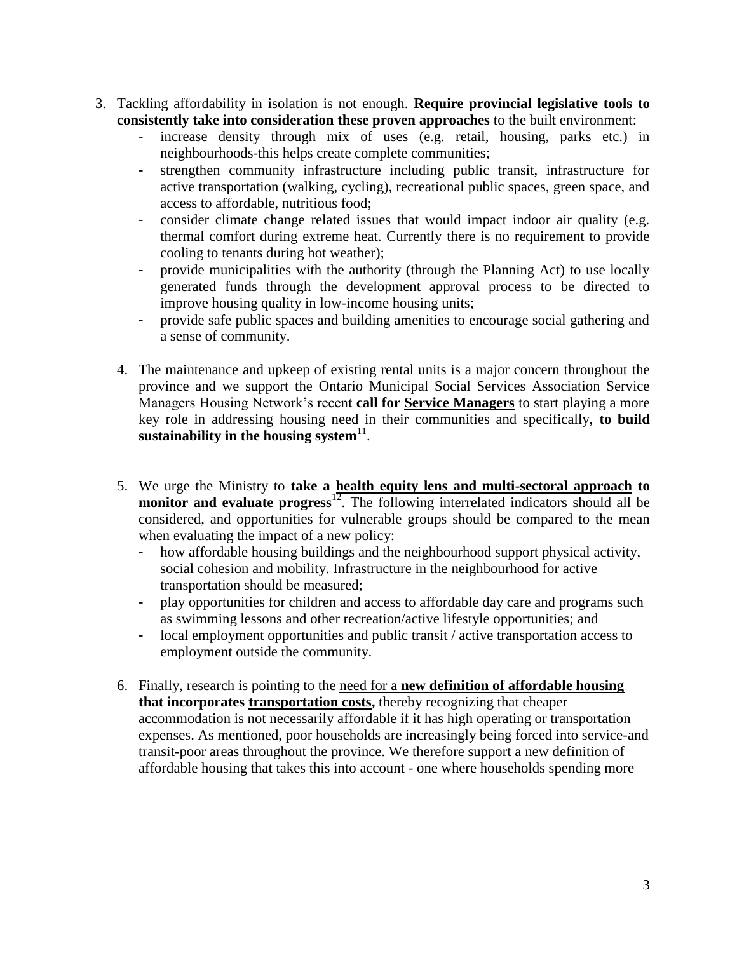- 3. Tackling affordability in isolation is not enough. **Require provincial legislative tools to consistently take into consideration these proven approaches** to the built environment:
	- increase density through mix of uses (e.g. retail, housing, parks etc.) in neighbourhoods-this helps create complete communities;
	- strengthen community infrastructure including public transit, infrastructure for active transportation (walking, cycling), recreational public spaces, green space, and access to affordable, nutritious food;
	- consider climate change related issues that would impact indoor air quality (e.g. thermal comfort during extreme heat. Currently there is no requirement to provide cooling to tenants during hot weather);
	- provide municipalities with the authority (through the Planning Act) to use locally generated funds through the development approval process to be directed to improve housing quality in low-income housing units;
	- provide safe public spaces and building amenities to encourage social gathering and a sense of community.
	- 4. The maintenance and upkeep of existing rental units is a major concern throughout the province and we support the Ontario Municipal Social Services Association Service Managers Housing Network's recent **call for Service Managers** to start playing a more key role in addressing housing need in their communities and specifically, **to build**  sustainability in the housing system<sup>11</sup>.
	- 5. We urge the Ministry to **take a health equity lens and multi-sectoral approach to**  monitor and evaluate progress<sup>12</sup>. The following interrelated indicators should all be considered, and opportunities for vulnerable groups should be compared to the mean when evaluating the impact of a new policy:
		- how affordable housing buildings and the neighbourhood support physical activity, social cohesion and mobility. Infrastructure in the neighbourhood for active transportation should be measured;
		- play opportunities for children and access to affordable day care and programs such as swimming lessons and other recreation/active lifestyle opportunities; and
		- local employment opportunities and public transit / active transportation access to employment outside the community.
	- 6. Finally, research is pointing to the need for a **new definition of affordable housing that incorporates transportation costs,** thereby recognizing that cheaper accommodation is not necessarily affordable if it has high operating or transportation expenses. As mentioned, poor households are increasingly being forced into service-and transit-poor areas throughout the province. We therefore support a new definition of affordable housing that takes this into account - one where households spending more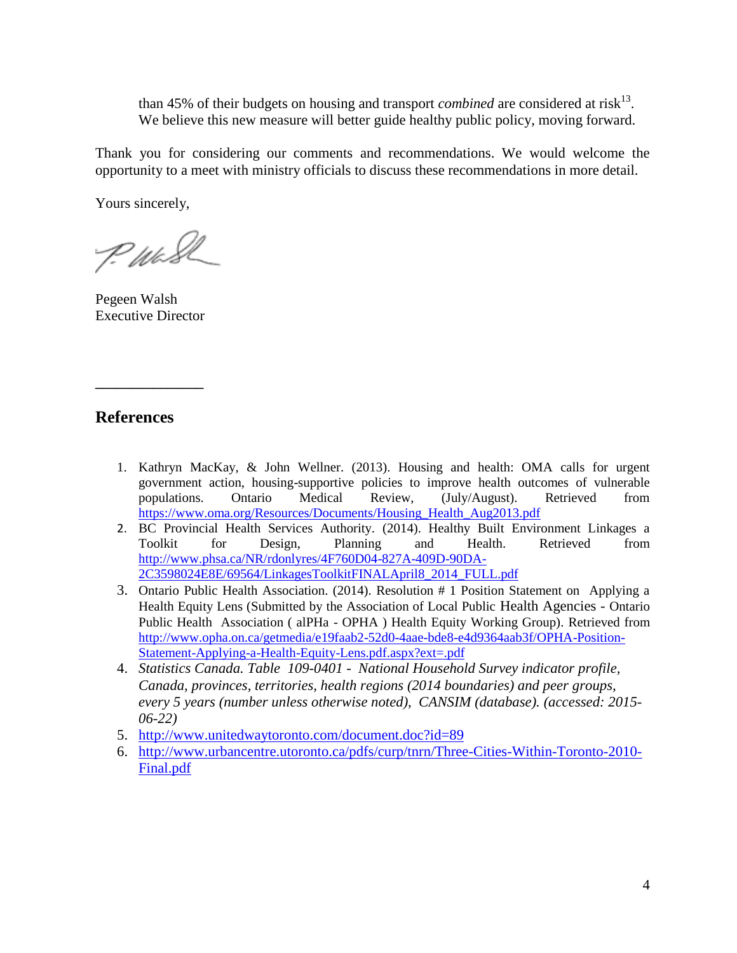than 45% of their budgets on housing and transport *combined* are considered at risk<sup>13</sup>. We believe this new measure will better guide healthy public policy, moving forward.

Thank you for considering our comments and recommendations. We would welcome the opportunity to a meet with ministry officials to discuss these recommendations in more detail.

Yours sincerely,

P. Wash

Pegeen Walsh Executive Director

**\_\_\_\_\_\_\_\_\_\_\_\_\_\_\_**

## **References**

- 1. Kathryn MacKay, & John Wellner. (2013). Housing and health: OMA calls for urgent government action, housing-supportive policies to improve health outcomes of vulnerable populations. Ontario Medical Review, (July/August). Retrieved from [https://www.oma.org/Resources/Documents/Housing\\_Health\\_Aug2013.pdf](https://www.oma.org/Resources/Documents/Housing_Health_Aug2013.pdf)
- 2. BC Provincial Health Services Authority. (2014). Healthy Built Environment Linkages a Toolkit for Design, Planning and Health. Retrieved from [http://www.phsa.ca/NR/rdonlyres/4F760D04-827A-409D-90DA-](http://www.phsa.ca/NR/rdonlyres/4F760D04-827A-409D-90DA-2C3598024E8E/69564/LinkagesToolkitFINALApril8_2014_FULL.pdf)[2C3598024E8E/69564/LinkagesToolkitFINALApril8\\_2014\\_FULL.pdf](http://www.phsa.ca/NR/rdonlyres/4F760D04-827A-409D-90DA-2C3598024E8E/69564/LinkagesToolkitFINALApril8_2014_FULL.pdf)
- 3. Ontario Public Health Association. (2014). Resolution # 1 Position Statement on Applying a Health Equity Lens (Submitted by the Association of Local Public Health Agencies - Ontario Public Health Association ( alPHa - OPHA ) Health Equity Working Group). Retrieved from [http://www.opha.on.ca/getmedia/e19faab2-52d0-4aae-bde8-e4d9364aab3f/OPHA-Position-](http://www.opha.on.ca/getmedia/e19faab2-52d0-4aae-bde8-e4d9364aab3f/OPHA-Position-Statement-Applying-a-Health-Equity-Lens.pdf.aspx?ext=.pdf)[Statement-Applying-a-Health-Equity-Lens.pdf.aspx?ext=.pdf](http://www.opha.on.ca/getmedia/e19faab2-52d0-4aae-bde8-e4d9364aab3f/OPHA-Position-Statement-Applying-a-Health-Equity-Lens.pdf.aspx?ext=.pdf)
- 4. *Statistics Canada. Table 109-0401 - National Household Survey indicator profile, Canada, provinces, territories, health regions (2014 boundaries) and peer groups, every 5 years (number unless otherwise noted), CANSIM (database). (accessed: 2015- 06-22)*
- 5. <http://www.unitedwaytoronto.com/document.doc?id=89>
- 6. [http://www.urbancentre.utoronto.ca/pdfs/curp/tnrn/Three-Cities-Within-Toronto-2010-](http://www.urbancentre.utoronto.ca/pdfs/curp/tnrn/Three-Cities-Within-Toronto-2010-Final.pdf) [Final.pdf](http://www.urbancentre.utoronto.ca/pdfs/curp/tnrn/Three-Cities-Within-Toronto-2010-Final.pdf)